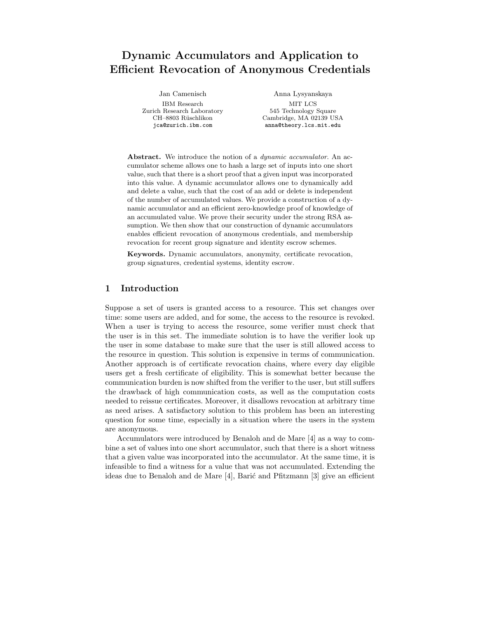# Dynamic Accumulators and Application to Efficient Revocation of Anonymous Credentials

Jan Camenisch IBM Research Zurich Research Laboratory CH-8803 Rüschlikon jca@zurich.ibm.com

Anna Lysyanskaya MIT LCS 545 Technology Square Cambridge, MA 02139 USA anna@theory.lcs.mit.edu

Abstract. We introduce the notion of a *dynamic accumulator*. An accumulator scheme allows one to hash a large set of inputs into one short value, such that there is a short proof that a given input was incorporated into this value. A dynamic accumulator allows one to dynamically add and delete a value, such that the cost of an add or delete is independent of the number of accumulated values. We provide a construction of a dynamic accumulator and an efficient zero-knowledge proof of knowledge of an accumulated value. We prove their security under the strong RSA assumption. We then show that our construction of dynamic accumulators enables efficient revocation of anonymous credentials, and membership revocation for recent group signature and identity escrow schemes.

Keywords. Dynamic accumulators, anonymity, certificate revocation, group signatures, credential systems, identity escrow.

# 1 Introduction

Suppose a set of users is granted access to a resource. This set changes over time: some users are added, and for some, the access to the resource is revoked. When a user is trying to access the resource, some verifier must check that the user is in this set. The immediate solution is to have the verifier look up the user in some database to make sure that the user is still allowed access to the resource in question. This solution is expensive in terms of communication. Another approach is of certificate revocation chains, where every day eligible users get a fresh certificate of eligibility. This is somewhat better because the communication burden is now shifted from the verifier to the user, but still suffers the drawback of high communication costs, as well as the computation costs needed to reissue certificates. Moreover, it disallows revocation at arbitrary time as need arises. A satisfactory solution to this problem has been an interesting question for some time, especially in a situation where the users in the system are anonymous.

Accumulators were introduced by Benaloh and de Mare [4] as a way to combine a set of values into one short accumulator, such that there is a short witness that a given value was incorporated into the accumulator. At the same time, it is infeasible to find a witness for a value that was not accumulated. Extending the ideas due to Benaloh and de Mare  $[4]$ , Barić and Pfitzmann  $[3]$  give an efficient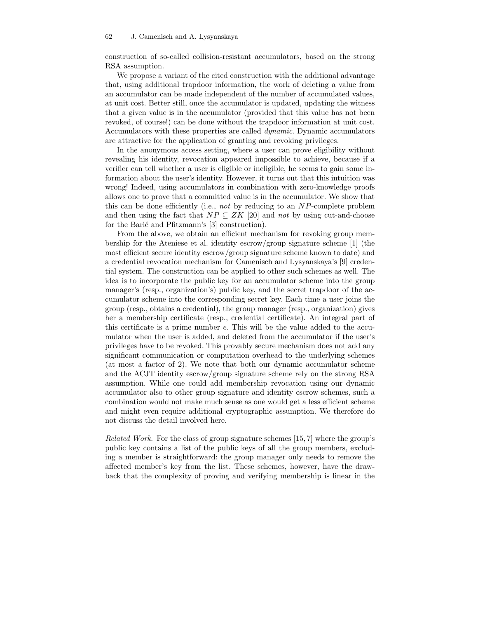construction of so-called collision-resistant accumulators, based on the strong RSA assumption.

We propose a variant of the cited construction with the additional advantage that, using additional trapdoor information, the work of deleting a value from an accumulator can be made independent of the number of accumulated values, at unit cost. Better still, once the accumulator is updated, updating the witness that a given value is in the accumulator (provided that this value has not been revoked, of course!) can be done without the trapdoor information at unit cost. Accumulators with these properties are called dynamic. Dynamic accumulators are attractive for the application of granting and revoking privileges.

In the anonymous access setting, where a user can prove eligibility without revealing his identity, revocation appeared impossible to achieve, because if a verifier can tell whether a user is eligible or ineligible, he seems to gain some information about the user's identity. However, it turns out that this intuition was wrong! Indeed, using accumulators in combination with zero-knowledge proofs allows one to prove that a committed value is in the accumulator. We show that this can be done efficiently (i.e., *not* by reducing to an  $NP$ -complete problem and then using the fact that  $NP \subseteq ZK$  [20] and not by using cut-and-choose for the Barić and Pfitzmann's [3] construction).

From the above, we obtain an efficient mechanism for revoking group membership for the Ateniese et al. identity escrow/group signature scheme [1] (the most efficient secure identity escrow/group signature scheme known to date) and a credential revocation mechanism for Camenisch and Lysyanskaya's [9] credential system. The construction can be applied to other such schemes as well. The idea is to incorporate the public key for an accumulator scheme into the group manager's (resp., organization's) public key, and the secret trapdoor of the accumulator scheme into the corresponding secret key. Each time a user joins the group (resp., obtains a credential), the group manager (resp., organization) gives her a membership certificate (resp., credential certificate). An integral part of this certificate is a prime number e. This will be the value added to the accumulator when the user is added, and deleted from the accumulator if the user's privileges have to be revoked. This provably secure mechanism does not add any significant communication or computation overhead to the underlying schemes (at most a factor of 2). We note that both our dynamic accumulator scheme and the ACJT identity escrow/group signature scheme rely on the strong RSA assumption. While one could add membership revocation using our dynamic accumulator also to other group signature and identity escrow schemes, such a combination would not make much sense as one would get a less efficient scheme and might even require additional cryptographic assumption. We therefore do not discuss the detail involved here.

Related Work. For the class of group signature schemes [15, 7] where the group's public key contains a list of the public keys of all the group members, excluding a member is straightforward: the group manager only needs to remove the affected member's key from the list. These schemes, however, have the drawback that the complexity of proving and verifying membership is linear in the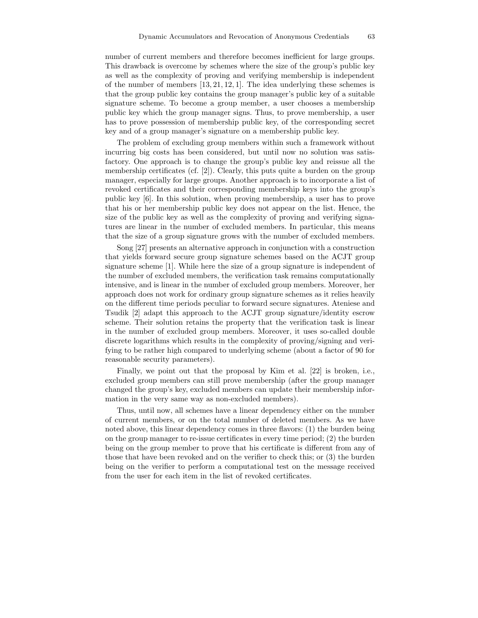number of current members and therefore becomes inefficient for large groups. This drawback is overcome by schemes where the size of the group's public key as well as the complexity of proving and verifying membership is independent of the number of members [13, 21, 12, 1]. The idea underlying these schemes is that the group public key contains the group manager's public key of a suitable signature scheme. To become a group member, a user chooses a membership public key which the group manager signs. Thus, to prove membership, a user has to prove possession of membership public key, of the corresponding secret key and of a group manager's signature on a membership public key.

The problem of excluding group members within such a framework without incurring big costs has been considered, but until now no solution was satisfactory. One approach is to change the group's public key and reissue all the membership certificates (cf. [2]). Clearly, this puts quite a burden on the group manager, especially for large groups. Another approach is to incorporate a list of revoked certificates and their corresponding membership keys into the group's public key [6]. In this solution, when proving membership, a user has to prove that his or her membership public key does not appear on the list. Hence, the size of the public key as well as the complexity of proving and verifying signatures are linear in the number of excluded members. In particular, this means that the size of a group signature grows with the number of excluded members.

Song [27] presents an alternative approach in conjunction with a construction that yields forward secure group signature schemes based on the ACJT group signature scheme [1]. While here the size of a group signature is independent of the number of excluded members, the verification task remains computationally intensive, and is linear in the number of excluded group members. Moreover, her approach does not work for ordinary group signature schemes as it relies heavily on the different time periods peculiar to forward secure signatures. Ateniese and Tsudik [2] adapt this approach to the ACJT group signature/identity escrow scheme. Their solution retains the property that the verification task is linear in the number of excluded group members. Moreover, it uses so-called double discrete logarithms which results in the complexity of proving/signing and verifying to be rather high compared to underlying scheme (about a factor of 90 for reasonable security parameters).

Finally, we point out that the proposal by Kim et al. [22] is broken, i.e., excluded group members can still prove membership (after the group manager changed the group's key, excluded members can update their membership information in the very same way as non-excluded members).

Thus, until now, all schemes have a linear dependency either on the number of current members, or on the total number of deleted members. As we have noted above, this linear dependency comes in three flavors: (1) the burden being on the group manager to re-issue certificates in every time period; (2) the burden being on the group member to prove that his certificate is different from any of those that have been revoked and on the verifier to check this; or (3) the burden being on the verifier to perform a computational test on the message received from the user for each item in the list of revoked certificates.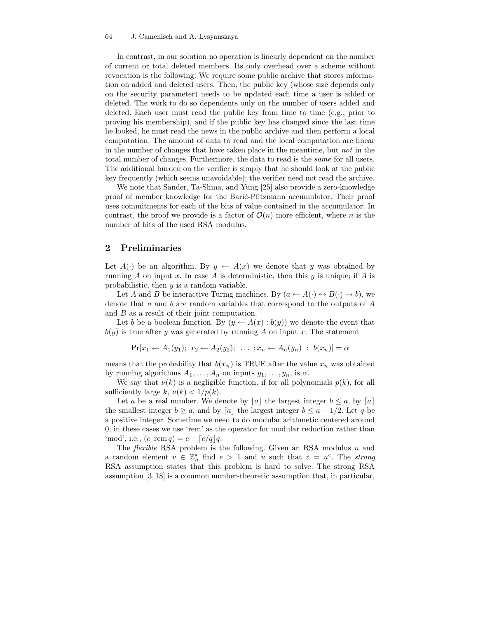#### 64 J. Camenisch and A. Lysyanskaya

In contrast, in our solution no operation is linearly dependent on the number of current or total deleted members. Its only overhead over a scheme without revocation is the following: We require some public archive that stores information on added and deleted users. Then, the public key (whose size depends only on the security parameter) needs to be updated each time a user is added or deleted. The work to do so dependents only on the number of users added and deleted. Each user must read the public key from time to time (e.g., prior to proving his membership), and if the public key has changed since the last time he looked, he must read the news in the public archive and then perform a local computation. The amount of data to read and the local computation are linear in the number of changes that have taken place in the meantime, but not in the total number of changes. Furthermore, the data to read is the same for all users. The additional burden on the verifier is simply that he should look at the public key frequently (which seems unavoidable); the verifier need not read the archive.

We note that Sander, Ta-Shma, and Yung [25] also provide a zero-knowledge proof of member knowledge for the Barić-Pfitzmann accumulator. Their proof uses commitments for each of the bits of value contained in the accumulator. In contrast, the proof we provide is a factor of  $\mathcal{O}(n)$  more efficient, where n is the number of bits of the used RSA modulus.

## 2 Preliminaries

Let  $A(\cdot)$  be an algorithm. By  $y \leftarrow A(x)$  we denote that y was obtained by running A on input x. In case A is deterministic, then this y is unique; if A is probabilistic, then  $y$  is a random variable.

Let A and B be interactive Turing machines. By  $(a \leftarrow A(\cdot) \leftrightarrow B(\cdot) \rightarrow b)$ , we denote that a and b are random variables that correspond to the outputs of A and B as a result of their joint computation.

Let b be a boolean function. By  $(y \leftarrow A(x) : b(y))$  we denote the event that  $b(y)$  is true after y was generated by running A on input x. The statement

$$
\Pr[x_1 \leftarrow A_1(y_1); \ x_2 \leftarrow A_2(y_2); \ \ \ldots \ ; x_n \leftarrow A_n(y_n) \ : \ b(x_n)] = \alpha
$$

means that the probability that  $b(x_n)$  is TRUE after the value  $x_n$  was obtained by running algorithms  $A_1, \ldots, A_n$  on inputs  $y_1, \ldots, y_n$ , is  $\alpha$ .

We say that  $\nu(k)$  is a negligible function, if for all polynomials  $p(k)$ , for all sufficiently large k,  $\nu(k) < 1/p(k)$ .

Let a be a real number. We denote by  $|a|$  the largest integer  $b \le a$ , by  $[a]$ the smallest integer  $b \ge a$ , and by [a] the largest integer  $b \le a + 1/2$ . Let q be a positive integer. Sometime we need to do modular arithmetic centered around 0; in these cases we use 'rem' as the operator for modular reduction rather than 'mod', i.e.,  $(c \text{ rem } q) = c - \lceil c/q \rceil q$ .

The *flexible* RSA problem is the following. Given an RSA modulus  $n$  and a random element  $v \in \mathbb{Z}_n^*$  find  $e > 1$  and u such that  $z = u^e$ . The *strong* RSA assumption states that this problem is hard to solve. The strong RSA assumption [3, 18] is a common number-theoretic assumption that, in particular,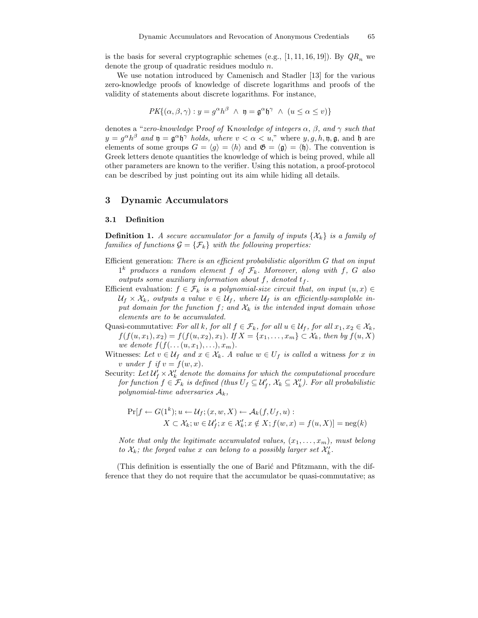is the basis for several cryptographic schemes (e.g.,  $[1, 11, 16, 19]$ ). By  $QR_n$  we denote the group of quadratic residues modulo n.

We use notation introduced by Camenisch and Stadler [13] for the various zero-knowledge proofs of knowledge of discrete logarithms and proofs of the validity of statements about discrete logarithms. For instance,

$$
PK\{(\alpha,\beta,\gamma): y = g^{\alpha}h^{\beta} \ \wedge \ \mathfrak{y} = \mathfrak{g}^{\alpha}\mathfrak{h}^{\gamma} \ \wedge \ (u \leq \alpha \leq v)\}
$$

denotes a "zero-knowledge Proof of Knowledge of integers  $\alpha$ ,  $\beta$ , and  $\gamma$  such that  $y = g^{\alpha}h^{\beta}$  and  $\mathfrak{y} = \mathfrak{g}^{\alpha}\mathfrak{h}^{\gamma}$  holds, where  $v < \alpha < u$ ," where  $y, g, h, \mathfrak{y}, \mathfrak{g}$ , and  $\mathfrak{h}$  are elements of some groups  $G = \langle g \rangle = \langle h \rangle$  and  $\mathfrak{G} = \langle \mathfrak{g} \rangle = \langle \mathfrak{h} \rangle$ . The convention is Greek letters denote quantities the knowledge of which is being proved, while all other parameters are known to the verifier. Using this notation, a proof-protocol can be described by just pointing out its aim while hiding all details.

#### 3 Dynamic Accumulators

#### 3.1 Definition

**Definition 1.** A secure accumulator for a family of inputs  $\{\mathcal{X}_k\}$  is a family of families of functions  $\mathcal{G} = \{ \mathcal{F}_k \}$  with the following properties:

- Efficient generation: There is an efficient probabilistic algorithm G that on input  $1^k$  produces a random element f of  $\mathcal{F}_k$ . Moreover, along with f, G also outputs some auxiliary information about f, denoted  $t_f$ .
- Efficient evaluation:  $f \in \mathcal{F}_k$  is a polynomial-size circuit that, on input  $(u, x) \in$  $U_f \times \mathcal{X}_k$ , outputs a value  $v \in \mathcal{U}_f$ , where  $\mathcal{U}_f$  is an efficiently-samplable input domain for the function f; and  $\mathcal{X}_k$  is the intended input domain whose elements are to be accumulated.
- Quasi-commutative: For all k, for all  $f \in \mathcal{F}_k$ , for all  $u \in \mathcal{U}_f$ , for all  $x_1, x_2 \in \mathcal{X}_k$ ,  $f(f(u, x_1), x_2) = f(f(u, x_2), x_1)$ . If  $X = \{x_1, \ldots, x_m\} \subset \mathcal{X}_k$ , then by  $f(u, X)$ we denote  $f(f(\ldots(u,x_1),\ldots),x_m)$ .
- Witnesses: Let  $v \in \mathcal{U}_f$  and  $x \in \mathcal{X}_k$ . A value  $w \in U_f$  is called a witness for x in v under  $f$  if  $v = f(w, x)$ .
- Security: Let  $\mathcal{U}_f' \times \mathcal{X}_k'$  denote the domains for which the computational procedure for function  $f \in \mathcal{F}_k$  is defined (thus  $U_f \subseteq \mathcal{U}'_f$ ,  $\mathcal{X}_k \subseteq \mathcal{X}'_k$ ). For all probabilistic polynomial-time adversaries  $A_k$ ,

$$
\Pr[f \leftarrow G(1^k); u \leftarrow \mathcal{U}_f; (x, w, X) \leftarrow \mathcal{A}_k(f, U_f, u) :
$$
  

$$
X \subset \mathcal{X}_k; w \in \mathcal{U}'_f; x \in \mathcal{X}'_k; x \notin X; f(w, x) = f(u, X)] = neg(k)
$$

Note that only the legitimate accumulated values,  $(x_1, \ldots, x_m)$ , must belong to  $\mathcal{X}_k$ ; the forged value x can belong to a possibly larger set  $\mathcal{X}'_k$ .

(This definition is essentially the one of Barić and Pfitzmann, with the difference that they do not require that the accumulator be quasi-commutative; as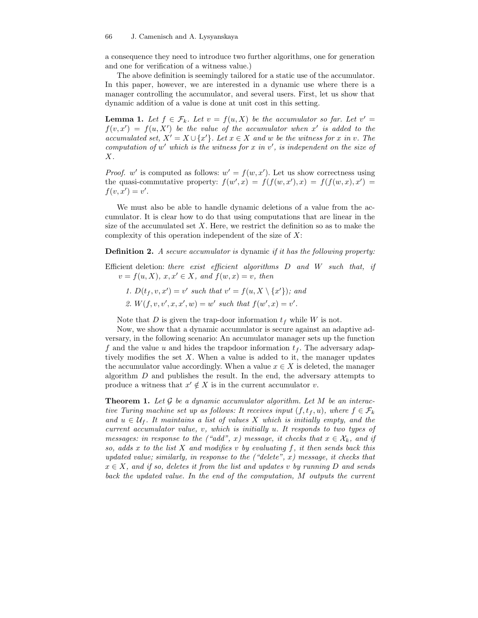a consequence they need to introduce two further algorithms, one for generation and one for verification of a witness value.)

The above definition is seemingly tailored for a static use of the accumulator. In this paper, however, we are interested in a dynamic use where there is a manager controlling the accumulator, and several users. First, let us show that dynamic addition of a value is done at unit cost in this setting.

**Lemma 1.** Let  $f \in \mathcal{F}_k$ . Let  $v = f(u, X)$  be the accumulator so far. Let  $v' =$  $f(v, x') = f(u, X')$  be the value of the accumulator when x' is added to the accumulated set,  $X' = X \cup \{x'\}$ . Let  $x \in X$  and w be the witness for x in v. The computation of  $w'$  which is the witness for x in  $v'$ , is independent on the size of  $X$ .

*Proof.* w' is computed as follows:  $w' = f(w, x')$ . Let us show correctness using the quasi-commutative property:  $f(w', x) = f(f(w, x'), x) = f(f(w, x), x') =$  $f(v, x') = v'.$ 

We must also be able to handle dynamic deletions of a value from the accumulator. It is clear how to do that using computations that are linear in the size of the accumulated set  $X$ . Here, we restrict the definition so as to make the complexity of this operation independent of the size of  $X$ :

Definition 2. A secure accumulator is dynamic if it has the following property:

- Efficient deletion: there exist efficient algorithms  $D$  and  $W$  such that, if  $v = f(u, X), x, x' \in X$ , and  $f(w, x) = v$ , then
	- 1.  $D(t_f, v, x') = v'$  such that  $v' = f(u, X \setminus \{x'\})$ ; and
	- 2.  $W(f, v, v', x, x', w) = w'$  such that  $f(w', x) = v'$ .

Note that  $D$  is given the trap-door information  $t_f$  while  $W$  is not.

Now, we show that a dynamic accumulator is secure against an adaptive adversary, in the following scenario: An accumulator manager sets up the function f and the value u and hides the trapdoor information  $t_f$ . The adversary adaptively modifies the set  $X$ . When a value is added to it, the manager updates the accumulator value accordingly. When a value  $x \in X$  is deleted, the manager algorithm  $D$  and publishes the result. In the end, the adversary attempts to produce a witness that  $x' \notin X$  is in the current accumulator v.

**Theorem 1.** Let  $\mathcal G$  be a dynamic accumulator algorithm. Let M be an interactive Turing machine set up as follows: It receives input  $(f, t_f, u)$ , where  $f \in \mathcal{F}_k$ and  $u \in \mathcal{U}_f$ . It maintains a list of values X which is initially empty, and the current accumulator value, v, which is initially u. It responds to two types of messages: in response to the ("add", x) message, it checks that  $x \in \mathcal{X}_k$ , and if so, adds  $x$  to the list  $X$  and modifies  $v$  by evaluating  $f$ , it then sends back this updated value; similarly, in response to the ("delete", x) message, it checks that  $x \in X$ , and if so, deletes it from the list and updates v by running D and sends back the updated value. In the end of the computation, M outputs the current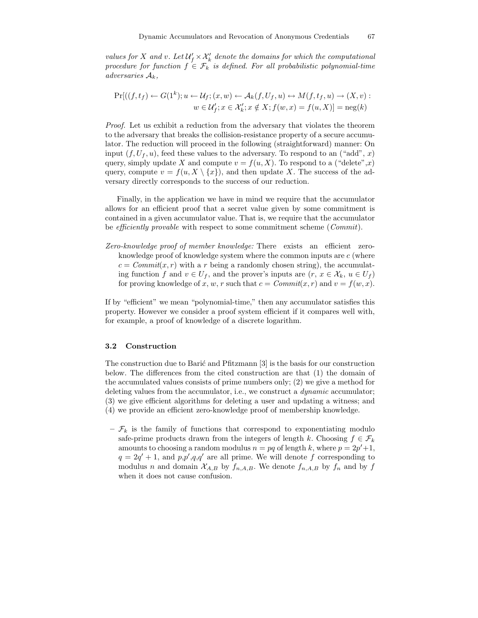values for X and v. Let  $\mathcal{U}'_f \times \mathcal{X}'_k$  denote the domains for which the computational procedure for function  $f \in \mathcal{F}_k$  is defined. For all probabilistic polynomial-time adversaries  $A_k$ ,

$$
\Pr[( (f, t_f) \leftarrow G(1^k); u \leftarrow \mathcal{U}_f; (x, w) \leftarrow \mathcal{A}_k(f, U_f, u) \leftrightarrow M(f, t_f, u) \rightarrow (X, v) :
$$

$$
w \in \mathcal{U}'_f; x \in \mathcal{X}'_k; x \notin X; f(w, x) = f(u, X)] = neg(k)
$$

Proof. Let us exhibit a reduction from the adversary that violates the theorem to the adversary that breaks the collision-resistance property of a secure accumulator. The reduction will proceed in the following (straightforward) manner: On input  $(f, U_f, u)$ , feed these values to the adversary. To respond to an ("add", x) query, simply update X and compute  $v = f(u, X)$ . To respond to a ("delete",x) query, compute  $v = f(u, X \setminus \{x\})$ , and then update X. The success of the adversary directly corresponds to the success of our reduction.

Finally, in the application we have in mind we require that the accumulator allows for an efficient proof that a secret value given by some commitment is contained in a given accumulator value. That is, we require that the accumulator be *efficiently provable* with respect to some commitment scheme (*Commit*).

Zero-knowledge proof of member knowledge: There exists an efficient zeroknowledge proof of knowledge system where the common inputs are c (where  $c = Commit(x, r)$  with a r being a randomly chosen string), the accumulating function f and  $v \in U_f$ , and the prover's inputs are  $(r, x \in \mathcal{X}_k, u \in U_f)$ for proving knowledge of x, w, r such that  $c = \text{Commit}(x, r)$  and  $v = f(w, x)$ .

If by "efficient" we mean "polynomial-time," then any accumulator satisfies this property. However we consider a proof system efficient if it compares well with, for example, a proof of knowledge of a discrete logarithm.

#### 3.2 Construction

The construction due to Barić and Pfitzmann  $[3]$  is the basis for our construction below. The differences from the cited construction are that (1) the domain of the accumulated values consists of prime numbers only; (2) we give a method for deleting values from the accumulator, i.e., we construct a dynamic accumulator; (3) we give efficient algorithms for deleting a user and updating a witness; and (4) we provide an efficient zero-knowledge proof of membership knowledge.

 $-\mathcal{F}_k$  is the family of functions that correspond to exponentiating modulo safe-prime products drawn from the integers of length k. Choosing  $f \in \mathcal{F}_k$ amounts to choosing a random modulus  $n = pq$  of length k, where  $p = 2p' + 1$ ,  $q = 2q' + 1$ , and  $p, p', q, q'$  are all prime. We will denote f corresponding to modulus n and domain  $\mathcal{X}_{A,B}$  by  $f_{n,A,B}$ . We denote  $f_{n,A,B}$  by  $f_n$  and by  $f$ when it does not cause confusion.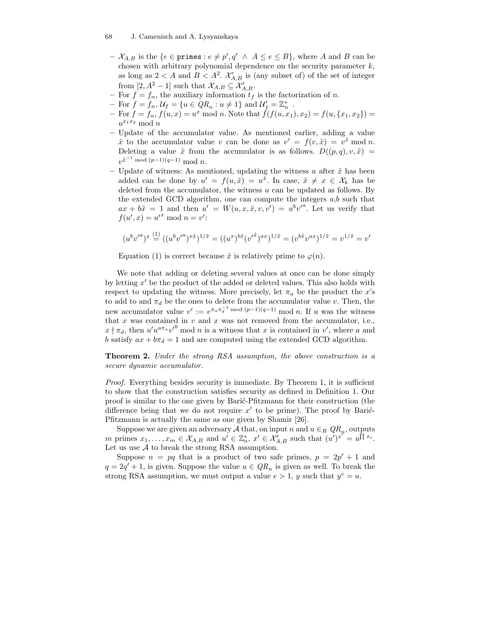- $\mathcal{X}_{A,B}$  is the  $\{e \in \text{primes} : e \neq p', q' \land A \leq e \leq B\}$ , where A and B can be chosen with arbitrary polynomial dependence on the security parameter  $k$ , as long as  $2 < A$  and  $B < A^2$ .  $\mathcal{X}_{A,B}'$  is (any subset of) of the set of integer from  $[2, A^2 - 1]$  such that  $\mathcal{X}_{A,B} \subseteq \mathcal{X}'_{A,B}$ .
- For  $f = f_n$ , the auxiliary information  $t_f$  is the factorization of n.
- For  $f = f_n$ ,  $\mathcal{U}_f = \{u \in QR_n : u \neq 1\}$  and  $\mathcal{U}'_f = \mathbb{Z}_n^*$ .
- For  $f = f_n$ ,  $f(u, x) = u^x \mod n$ . Note that  $\check{f}(f(u, x_1), x_2) = f(u, \{x_1, x_2\}) =$  $u^{x_1x_2} \bmod n$
- Update of the accumulator value. As mentioned earlier, adding a value  $\tilde{x}$  to the accumulator value v can be done as  $v' = f(v, \tilde{x}) = v^{\tilde{x}} \mod n$ . Deleting a value  $\tilde{x}$  from the accumulator is as follows.  $D((p,q), v, \tilde{x}) =$  $v^{\tilde{x}^{-1} \bmod (p-1)(q-1)} \bmod n.$
- Update of witness: As mentioned, updating the witness  $u$  after  $\tilde{x}$  has been added can be done by  $u' = f(u, \tilde{x}) = u^{\tilde{x}}$ . In case,  $\tilde{x} \neq x \in \mathcal{X}_k$  has be deleted from the accumulator, the witness  $u$  can be updated as follows. By the extended GCD algorithm, one can compute the integers  $a, b$  such that  $ax + b\tilde{x} = 1$  and then  $u' = W(u, x, \tilde{x}, v, v') = u^b v'^a$ . Let us verify that  $f(u', x) = u'^x \bmod n = v'.$

$$
(u^b {v'}^a)^x\overset{(1)}{=}\big((u^b {v'}^a)^{x\tilde{x}}\big)^{1/\tilde{x}}= ((u^x)^{b\tilde{x}}({v'}^{\tilde{x}})^{ax})^{1/\tilde{x}}= (v^{b\tilde{x}} v^{ax})^{1/\tilde{x}}=v^{1/\tilde{x}}=v'
$$

Equation (1) is correct because  $\tilde{x}$  is relatively prime to  $\varphi(n)$ .

We note that adding or deleting several values at once can be done simply by letting  $x'$  be the product of the added or deleted values. This also holds with respect to updating the witness. More precisely, let  $\pi_a$  be the product the x's to add to and  $\pi_d$  be the ones to delete from the accumulator value v. Then, the new accumulator value  $v' := v^{\pi_a \pi_d^{-1} \mod (p-1)(q-1)} \mod n$ . If u was the witness that  $x$  was contained in  $v$  and  $x$  was not removed from the accumulator, i.e.,  $x \nmid \pi_d$ , then  $u'u^{a\pi_a}v'^b \mod n$  is a witness that x is contained in v', where a and b satisfy  $ax + b\pi_d = 1$  and are computed using the extended GCD algorithm.

Theorem 2. Under the strong RSA assumption, the above construction is a secure dynamic accumulator.

Proof. Everything besides security is immediate. By Theorem 1, it is sufficient to show that the construction satisfies security as defined in Definition 1. Our proof is similar to the one given by Bari´c-Pfitzmann for their construction (the difference being that we do not require  $x'$  to be prime). The proof by Barić-Pfitzmann is actually the same as one given by Shamir [26].

Suppose we are given an adversary A that, on input n and  $u \in_R QR_n$ , outputs m primes  $x_1, \ldots, x_m \in \mathcal{X}_{A,B}$  and  $u' \in \mathbb{Z}_n^*, x' \in \mathcal{X}_{A,B}'$  such that  $(u')^{x''} = u^{[1]}x_1$ . Let us use  $A$  to break the strong RSA assumption.

Suppose  $n = pq$  that is a product of two safe primes,  $p = 2p' + 1$  and  $q = 2q' + 1$ , is given. Suppose the value  $u \in QR_n$  is given as well. To break the strong RSA assumption, we must output a value  $e > 1$ , y such that  $y^e = u$ .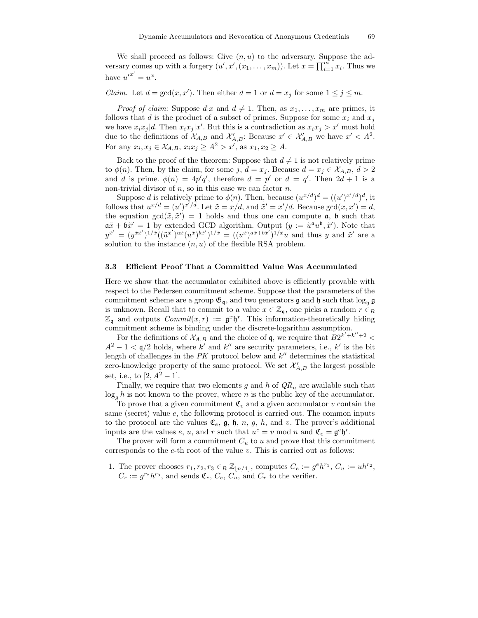We shall proceed as follows: Give  $(n, u)$  to the adversary. Suppose the adversary comes up with a forgery  $(u', x', (x_1, \ldots, x_m))$ . Let  $x = \prod_{i=1}^m x_i$ . Thus we have  $u'^{x'} = u^x$ .

# Claim. Let  $d = \gcd(x, x')$ . Then either  $d = 1$  or  $d = x_j$  for some  $1 \le j \le m$ .

*Proof of claim:* Suppose  $d/x$  and  $d \neq 1$ . Then, as  $x_1, \ldots, x_m$  are primes, it follows that d is the product of a subset of primes. Suppose for some  $x_i$  and  $x_j$ we have  $x_i x_j | d$ . Then  $x_i x_j | x'$ . But this is a contradiction as  $x_i x_j > x'$  must hold due to the definitions of  $\mathcal{X}_{A,B}$  and  $\mathcal{X}_{A,B}'$ : Because  $x' \in \mathcal{X}_{A,B}'$  we have  $x' < A^2$ . For any  $x_i, x_j \in \mathcal{X}_{A,B}, x_i x_j \geq A^2 > x'$ , as  $x_1, x_2 \geq A$ .

Back to the proof of the theorem: Suppose that  $d \neq 1$  is not relatively prime to  $\phi(n)$ . Then, by the claim, for some j,  $d = x_j$ . Because  $d = x_j \in \mathcal{X}_{A,B}, d > 2$ and d is prime.  $\phi(n) = 4p'q'$ , therefore  $d = p'$  or  $d = q'$ . Then  $2d + 1$  is a non-trivial divisor of  $n$ , so in this case we can factor  $n$ .

Suppose d is relatively prime to  $\phi(n)$ . Then, because  $(u^{x/d})^d = ((u')^{x'/d})^d$ , it follows that  $u^{x/d} = (u')^{x'/d}$ . Let  $\tilde{x} = x/d$ , and  $\tilde{x}' = x'/d$ . Because  $gcd(x, x') = d$ , the equation  $gcd(\tilde{x}, \tilde{x}') = 1$  holds and thus one can compute  $a$ ,  $b$  such that  $\mathfrak{a}\tilde{x} + \mathfrak{b}\tilde{x}' = 1$  by extended GCD algorithm. Output  $(y := \tilde{u}^{\mathfrak{a}}u^{\mathfrak{b}}, \tilde{x}')$ . Note that  $y^{\tilde{x}'} = (y^{\tilde{x}\tilde{x}'})^{1/\tilde{x}}((\tilde{u}^{\tilde{x}'})^{\tilde{a}\tilde{x}})^{b\tilde{x}'})^{1/\tilde{x}} = ((u^{\tilde{x}})^{a\tilde{x}+b\tilde{x}'})^{1/\tilde{x}}u$  and thus y and  $\tilde{x}'$  are a solution to the instance  $(n, u)$  of the flexible RSA problem.

#### 3.3 Efficient Proof That a Committed Value Was Accumulated

Here we show that the accumulator exhibited above is efficiently provable with respect to the Pedersen commitment scheme. Suppose that the parameters of the commitment scheme are a group  $\mathfrak{G}_{\mathfrak{g}}$ , and two generators  $\mathfrak{g}$  and  $\mathfrak{h}$  such that  $\log_{\mathfrak{h}} \mathfrak{g}$ is unknown. Recall that to commit to a value  $x \in \mathbb{Z}_q$ , one picks a random  $r \in_R$  $\mathbb{Z}_q$  and outputs  $Commit(x,r) := \mathfrak{g}^x \mathfrak{h}^r$ . This information-theoretically hiding commitment scheme is binding under the discrete-logarithm assumption.

For the definitions of  $\mathcal{X}_{A,B}$  and the choice of q, we require that  $\overline{B2^{k'+k''+2}}$  $A^2 - 1 < \mathfrak{q}/2$  holds, where k' and k'' are security parameters, i.e., k' is the bit length of challenges in the  $PK$  protocol below and  $k''$  determines the statistical zero-knowledge property of the same protocol. We set  $\mathcal{X}_{A,B}'$  the largest possible set, i.e., to  $[2, A^2 - 1]$ .

Finally, we require that two elements g and h of  $QR_n$  are available such that  $\log_g h$  is not known to the prover, where n is the public key of the accumulator.

To prove that a given commitment  $\mathfrak{C}_e$  and a given accumulator v contain the same (secret) value  $e$ , the following protocol is carried out. The common inputs to the protocol are the values  $\mathfrak{C}_e$ ,  $\mathfrak{g}$ ,  $\mathfrak{h}$ ,  $n$ ,  $g$ ,  $h$ , and  $v$ . The prover's additional inputs are the values e, u, and r such that  $u^e = v \mod n$  and  $\mathfrak{C}_e = \mathfrak{g}^e \mathfrak{h}^r$ .

The prover will form a commitment  $C_u$  to u and prove that this commitment corresponds to the  $e$ -th root of the value  $v$ . This is carried out as follows:

1. The prover chooses  $r_1, r_2, r_3 \in_R \mathbb{Z}_{\lfloor n/4 \rfloor}$ , computes  $C_e := g^e h^{r_1}, C_u := uh^{r_2}$ ,  $C_r := g^{r_2} h^{r_3}$ , and sends  $\mathfrak{C}_e$ ,  $C_e$ ,  $C_u$ , and  $C_r$  to the verifier.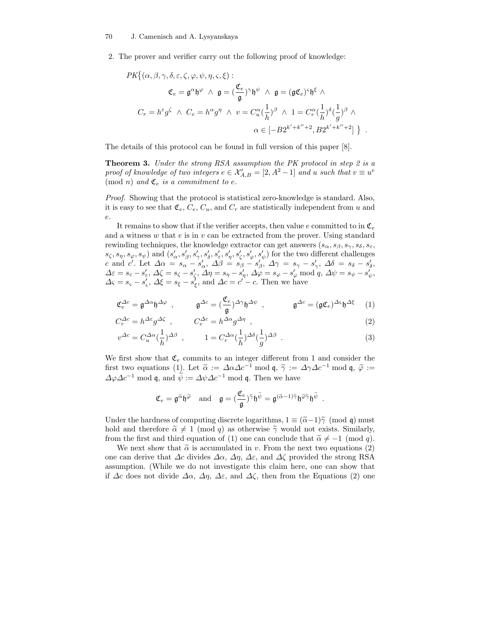2. The prover and verifier carry out the following proof of knowledge:

$$
PK\{(\alpha, \beta, \gamma, \delta, \varepsilon, \zeta, \varphi, \psi, \eta, \varsigma, \xi) : \\ \mathfrak{C}_e = \mathfrak{g}^{\alpha} \mathfrak{h}^{\varphi} \ \wedge \ \mathfrak{g} = (\frac{\mathfrak{C}_e}{\mathfrak{g}})^{\gamma} \mathfrak{h}^{\psi} \ \wedge \ \mathfrak{g} = (\mathfrak{g} \mathfrak{C}_e)^{\varsigma} \mathfrak{h}^{\xi} \ \wedge \\ C_r = h^{\varepsilon} g^{\zeta} \ \wedge \ C_e = h^{\alpha} g^{\eta} \ \wedge \ v = C_u^{\alpha} (\frac{1}{h})^{\beta} \ \wedge \ 1 = C_r^{\alpha} (\frac{1}{h})^{\delta} (\frac{1}{g})^{\beta} \ \wedge \\ \alpha \in [-B2^{k'+k''+2}, B2^{k'+k''+2}] \ \} \ .
$$

The details of this protocol can be found in full version of this paper [8].

Theorem 3. Under the strong RSA assumption the PK protocol in step 2 is a proof of knowledge of two integers  $e \in \mathcal{X}_{A,B}' = [2,A^2-1]$  and u such that  $v \equiv u^e$ (mod n) and  $\mathfrak{C}_e$  is a commitment to e.

Proof. Showing that the protocol is statistical zero-knowledge is standard. Also, it is easy to see that  $\mathfrak{C}_e$ ,  $C_e$ ,  $C_u$ , and  $C_r$  are statistically independent from u and e.

It remains to show that if the verifier accepts, then value e committed to in  $\mathfrak{C}_e$ and a witness  $w$  that  $e$  is in  $v$  can be extracted from the prover. Using standard rewinding techniques, the knowledge extractor can get answers  $(s_{\alpha}, s_{\beta}, s_{\gamma}, s_{\delta}, s_{\varepsilon},$  $(s_\zeta,s_\eta,s_\varphi,s_\psi)$  and  $(s_\alpha',s_\beta',s_\gamma',s_\delta',s_\varepsilon',s_\eta',s_\zeta',s_\varphi',s_\psi')$  for the two different challenges c and c'. Let  $\Delta \alpha = s_{\alpha} - s_{\alpha}'$ ,  $\Delta \beta = s_{\beta} - s_{\beta}'$ ,  $\Delta \gamma = s_{\gamma} - s_{\gamma}'$ ,  $\Delta \delta = s_{\delta} - s_{\delta}'$ ,  $\Delta \varepsilon = s_{\varepsilon} - s'_{\varepsilon}, \, \Delta \zeta = s_{\zeta} - s'_{\zeta}, \, \Delta \eta = s_{\eta} - s'_{\eta}, \, \Delta \varphi = s_{\varphi} - s'_{\varphi} \bmod q, \, \Delta \psi = s_{\psi} - s'_{\psi},$  $\Delta \varsigma = s_{\varsigma} - s_{\varsigma}'$ ,  $\Delta \xi = s_{\xi} - s_{\xi}'$ , and  $\Delta c = c' - c$ . Then we have

$$
\mathfrak{C}_{e}^{\Delta c} = \mathfrak{g}^{\Delta \alpha} \mathfrak{h}^{\Delta \varphi} , \qquad \mathfrak{g}^{\Delta c} = \left( \frac{\mathfrak{C}_{e}}{\mathfrak{g}} \right)^{\Delta \gamma} \mathfrak{h}^{\Delta \psi} , \qquad \mathfrak{g}^{\Delta c} = (\mathfrak{g} \mathfrak{C}_{e})^{\Delta \varsigma} \mathfrak{h}^{\Delta \xi} (1)
$$

$$
C_r^{\Delta c} = h^{\Delta \varepsilon} g^{\Delta \zeta} \t{,} \t C_e^{\Delta c} = h^{\Delta \alpha} g^{\Delta \eta} \t{,} \t(2)
$$

$$
v^{\Delta c} = C_u^{\Delta \alpha} \left(\frac{1}{h}\right)^{\Delta \beta} , \qquad 1 = C_r^{\Delta \alpha} \left(\frac{1}{h}\right)^{\Delta \delta} \left(\frac{1}{g}\right)^{\Delta \beta} . \tag{3}
$$

We first show that  $\mathfrak{C}_e$  commits to an integer different from 1 and consider the first two equations (1). Let  $\tilde{\alpha} := \Delta \alpha \Delta c^{-1} \mod \mathfrak{q}$ ,  $\tilde{\gamma} := \Delta \gamma \Delta c^{-1} \mod \mathfrak{q}$ ,  $\tilde{\varphi} :=$  $\Delta \varphi \Delta c^{-1}$  mod q, and  $\tilde{\psi} := \Delta \psi \Delta c^{-1}$  mod q. Then we have

$$
\mathfrak{C}_e = \mathfrak{g}^{\widetilde{\alpha}} \mathfrak{h}^{\widetilde{\varphi}} \quad \text{and} \quad \mathfrak{g} = \left( \frac{\mathfrak{C}_e}{\mathfrak{g}} \right)^{\widetilde{\gamma}} \mathfrak{h}^{\widetilde{\psi}} = \mathfrak{g}^{(\widetilde{\alpha} - 1)\widetilde{\gamma}} \mathfrak{h}^{\widetilde{\varphi}\widetilde{\gamma}} \mathfrak{h}^{\widetilde{\psi}} \ .
$$

Under the hardness of computing discrete logarithms,  $1 \equiv (\tilde{\alpha}-1)\tilde{\gamma} \pmod{q}$  must hold and therefore  $\tilde{\alpha} \neq 1 \pmod{q}$  as otherwise  $\tilde{\gamma}$  would not exists. Similarly, from the first and third equation of (1) one can conclude that  $\tilde{\alpha} \neq -1 \pmod{q}$ .

We next show that  $\tilde{\alpha}$  is accumulated in v. From the next two equations (2) one can derive that  $\Delta c$  divides  $\Delta \alpha$ ,  $\Delta \eta$ ,  $\Delta \varepsilon$ , and  $\Delta \zeta$  provided the strong RSA assumption. (While we do not investigate this claim here, one can show that if  $\Delta c$  does not divide  $\Delta \alpha$ ,  $\Delta \eta$ ,  $\Delta \varepsilon$ , and  $\Delta \zeta$ , then from the Equations (2) one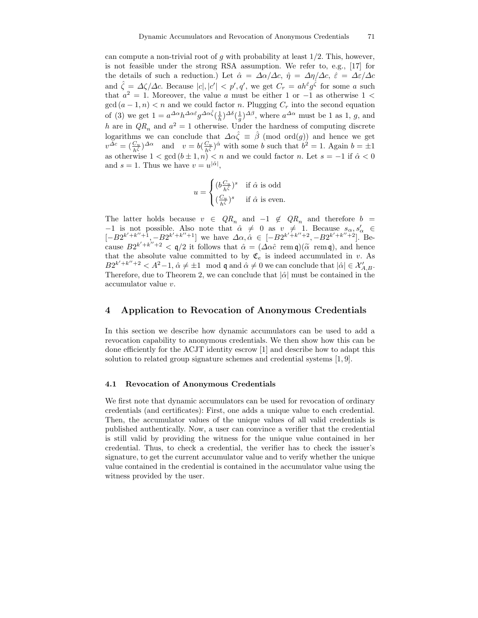can compute a non-trivial root of q with probability at least  $1/2$ . This, however, is not feasible under the strong RSA assumption. We refer to, e.g., [17] for the details of such a reduction.) Let  $\hat{\alpha} = \Delta \alpha / \Delta c$ ,  $\hat{\eta} = \Delta \eta / \Delta c$ ,  $\hat{\varepsilon} = \Delta \varepsilon / \Delta c$ and  $\hat{\zeta} = \Delta \zeta / \Delta c$ . Because  $|c|, |c'| < p', q'$ , we get  $C_r = ah^{\hat{\varepsilon}} g^{\hat{\zeta}}$  for some a such that  $a^2 = 1$ . Moreover, the value a must be either 1 or -1 as otherwise 1 <  $\gcd(a-1,n) < n$  and we could factor n. Plugging  $C_r$  into the second equation of (3) we get  $1 = a^{\Delta\alpha}h^{\Delta\alpha\hat{\varepsilon}}g^{\Delta\alpha\hat{\zeta}}(\frac{1}{h})^{\Delta\beta}(\frac{1}{g})^{\Delta\beta}$ , where  $a^{\Delta\alpha}$  must be 1 as 1, g, and h are in  $QR_n$  and  $a^2 = 1$  otherwise. Under the hardness of computing discrete logarithms we can conclude that  $\Delta \alpha \hat{\zeta} = \hat{\beta}$  (mod ord(g)) and hence we get  $v^{\Delta c} = \left(\frac{C_u}{h^{\zeta}}\right)^{\Delta \alpha}$  and  $v = b\left(\frac{C_u}{h^{\zeta}}\right)^{\hat{\alpha}}$  with some b such that  $b^2 = 1$ . Again  $b = \pm 1$ as otherwise  $1 < \gcd(b \pm 1, n) < n$  and we could factor n. Let  $s = -1$  if  $\hat{\alpha} < 0$ and  $s = 1$ . Thus we have  $v = u^{|\hat{\alpha}|}$ ,

$$
u = \begin{cases} (b \frac{C_u}{h^{\hat{\zeta}}})^s & \text{if } \hat{\alpha} \text{ is odd} \\ (\frac{C_u}{h^{\hat{\zeta}}})^s & \text{if } \hat{\alpha} \text{ is even.} \end{cases}
$$

The latter holds because  $v \in QR_n$  and  $-1 \notin QR_n$  and therefore  $b =$  $-1$  is not possible. Also note that  $\hat{\alpha} \neq 0$  as  $v \neq 1$ . Because  $s_{\alpha}, s'_{\alpha} \in$  $[-B2^{k'+k''+1}, -B2^{k'+k''+1}]$  we have  $\Delta\alpha, \hat{\alpha} \in [-B2^{k'+k''+2}, -B2^{k'+k''+2}]$ . Because  $B2^{k'+k''+2} < q/2$  it follows that  $\hat{\alpha} = (\Delta \alpha \hat{c} \text{ rem } q)(\tilde{\alpha} \text{ rem } q)$ , and hence that the absolute value committed to by  $\mathfrak{C}_e$  is indeed accumulated in v. As  $B2^{k'+k''+2} < A^2-1, \hat{\alpha} \neq \pm 1 \mod \mathfrak{q} \text{ and } \hat{\alpha} \neq 0 \text{ we can conclude that } |\hat{\alpha}| \in \mathcal{X}_{A,B}'.$ Therefore, due to Theorem 2, we can conclude that  $|\hat{\alpha}|$  must be contained in the accumulator value v.

## 4 Application to Revocation of Anonymous Credentials

In this section we describe how dynamic accumulators can be used to add a revocation capability to anonymous credentials. We then show how this can be done efficiently for the ACJT identity escrow [1] and describe how to adapt this solution to related group signature schemes and credential systems [1, 9].

#### 4.1 Revocation of Anonymous Credentials

We first note that dynamic accumulators can be used for revocation of ordinary credentials (and certificates): First, one adds a unique value to each credential. Then, the accumulator values of the unique values of all valid credentials is published authentically. Now, a user can convince a verifier that the credential is still valid by providing the witness for the unique value contained in her credential. Thus, to check a credential, the verifier has to check the issuer's signature, to get the current accumulator value and to verify whether the unique value contained in the credential is contained in the accumulator value using the witness provided by the user.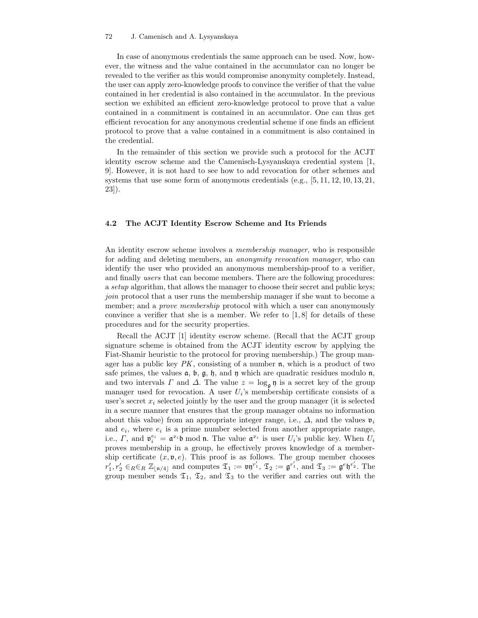#### 72 J. Camenisch and A. Lysyanskaya

In case of anonymous credentials the same approach can be used. Now, however, the witness and the value contained in the accumulator can no longer be revealed to the verifier as this would compromise anonymity completely. Instead, the user can apply zero-knowledge proofs to convince the verifier of that the value contained in her credential is also contained in the accumulator. In the previous section we exhibited an efficient zero-knowledge protocol to prove that a value contained in a commitment is contained in an accumulator. One can thus get efficient revocation for any anonymous credential scheme if one finds an efficient protocol to prove that a value contained in a commitment is also contained in the credential.

In the remainder of this section we provide such a protocol for the ACJT identity escrow scheme and the Camenisch-Lysyanskaya credential system [1, 9]. However, it is not hard to see how to add revocation for other schemes and systems that use some form of anonymous credentials (e.g., [5, 11, 12, 10, 13, 21, 23]).

### 4.2 The ACJT Identity Escrow Scheme and Its Friends

An identity escrow scheme involves a membership manager, who is responsible for adding and deleting members, an anonymity revocation manager, who can identify the user who provided an anonymous membership-proof to a verifier, and finally users that can become members. There are the following procedures: a setup algorithm, that allows the manager to choose their secret and public keys; join protocol that a user runs the membership manager if she want to become a member; and a *prove membership* protocol with which a user can anonymously convince a verifier that she is a member. We refer to  $[1, 8]$  for details of these procedures and for the security properties.

Recall the ACJT [1] identity escrow scheme. (Recall that the ACJT group signature scheme is obtained from the ACJT identity escrow by applying the Fiat-Shamir heuristic to the protocol for proving membership.) The group manager has a public key  $PK$ , consisting of a number n, which is a product of two safe primes, the values  $a, b, g, b$ , and  $b$  which are quadratic residues modulo  $n$ , and two intervals  $\Gamma$  and  $\Delta$ . The value  $z = \log_{\mathfrak{g}} \mathfrak{y}$  is a secret key of the group manager used for revocation. A user  $U_i$ 's membership certificate consists of a user's secret  $x_i$  selected jointly by the user and the group manager (it is selected in a secure manner that ensures that the group manager obtains no information about this value) from an appropriate integer range, i.e.,  $\Delta$ , and the values  $v_i$ and  $e_i$ , where  $e_i$  is a prime number selected from another appropriate range, i.e.,  $\Gamma$ , and  $\mathfrak{v}_i^{e_i} = \mathfrak{a}^{x_i} \mathfrak{b}$  mod **n**. The value  $\mathfrak{a}^{x_i}$  is user  $U_i$ 's public key. When  $U_i$ proves membership in a group, he effectively proves knowledge of a membership certificate  $(x, \mathfrak{v}, e)$ . This proof is as follows. The group member chooses  $r'_1, r'_2 \in_R \in_R \mathbb{Z}_{\lfloor n/4 \rfloor}$  and computes  $\mathfrak{T}_1 := \mathfrak{v} \mathfrak{y}^{r'_1}, \mathfrak{T}_2 := \mathfrak{g}^{r'_1}$ , and  $\mathfrak{T}_3 := \mathfrak{g}^e \mathfrak{h}^{r'_2}$ . The group member sends  $\mathfrak{T}_1$ ,  $\mathfrak{T}_2$ , and  $\mathfrak{T}_3$  to the verifier and carries out with the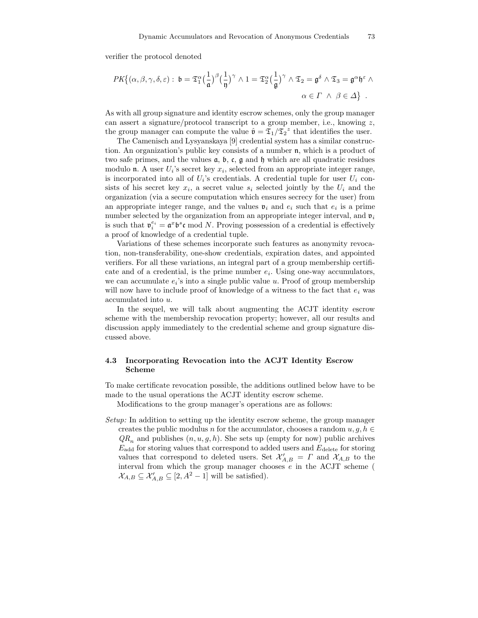verifier the protocol denoted

$$
PK\{(\alpha,\beta,\gamma,\delta,\varepsilon): \mathfrak{b}=\mathfrak{T}^{\alpha}_{1}\left(\frac{1}{\mathfrak{a}}\right)^{\beta}\left(\frac{1}{\mathfrak{y}}\right)^{\gamma}\wedge 1=\mathfrak{T}^{\alpha}_{2}\left(\frac{1}{\mathfrak{g}}\right)^{\gamma}\wedge \mathfrak{T}_{2}=\mathfrak{g}^{\delta}\wedge \mathfrak{T}_{3}=\mathfrak{g}^{\alpha}\mathfrak{h}^{\varepsilon}\wedge \alpha \in \Gamma \wedge \beta \in \Delta \}.
$$

As with all group signature and identity escrow schemes, only the group manager can assert a signature/protocol transcript to a group member, i.e., knowing  $z$ , the group manager can compute the value  $\hat{\mathfrak{v}} = \mathfrak{T}_1/\mathfrak{T}_2^2$  that identifies the user.

The Camenisch and Lysyanskaya [9] credential system has a similar construction. An organization's public key consists of a number n, which is a product of two safe primes, and the values  $a, b, c, g$  and  $b$  which are all quadratic residues modulo **n**. A user  $U_i$ 's secret key  $x_i$ , selected from an appropriate integer range, is incorporated into all of  $U_i$ 's credentials. A credential tuple for user  $U_i$  consists of his secret key  $x_i$ , a secret value  $s_i$  selected jointly by the  $U_i$  and the organization (via a secure computation which ensures secrecy for the user) from an appropriate integer range, and the values  $v_i$  and  $e_i$  such that  $e_i$  is a prime number selected by the organization from an appropriate integer interval, and  $\mathfrak{v}_i$ is such that  $\mathfrak{v}_i^{e_i} = \mathfrak{a}^x \mathfrak{b}^s \mathfrak{c}$  mod N. Proving possession of a credential is effectively a proof of knowledge of a credential tuple.

Variations of these schemes incorporate such features as anonymity revocation, non-transferability, one-show credentials, expiration dates, and appointed verifiers. For all these variations, an integral part of a group membership certificate and of a credential, is the prime number  $e_i$ . Using one-way accumulators, we can accumulate  $e_i$ 's into a single public value u. Proof of group membership will now have to include proof of knowledge of a witness to the fact that  $e_i$  was accumulated into u.

In the sequel, we will talk about augmenting the ACJT identity escrow scheme with the membership revocation property; however, all our results and discussion apply immediately to the credential scheme and group signature discussed above.

### 4.3 Incorporating Revocation into the ACJT Identity Escrow Scheme

To make certificate revocation possible, the additions outlined below have to be made to the usual operations the ACJT identity escrow scheme.

Modifications to the group manager's operations are as follows:

Setup: In addition to setting up the identity escrow scheme, the group manager creates the public modulus n for the accumulator, chooses a random  $u, g, h \in$  $QR_n$  and publishes  $(n, u, g, h)$ . She sets up (empty for now) public archives  $E_{\text{add}}$  for storing values that correspond to added users and  $E_{\text{delete}}$  for storing values that correspond to deleted users. Set  $\mathcal{X}_{A,B}' = \Gamma$  and  $\mathcal{X}_{A,B}$  to the interval from which the group manager chooses e in the ACJT scheme (  $\mathcal{X}_{A,B} \subseteq \mathcal{X}_{A,B}' \subseteq [2, A^2 - 1]$  will be satisfied).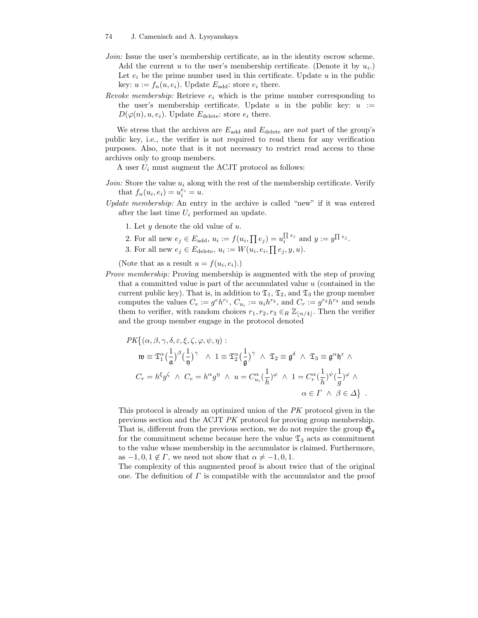- Join: Issue the user's membership certificate, as in the identity escrow scheme. Add the current u to the user's membership certificate. (Denote it by  $u_i$ .) Let  $e_i$  be the prime number used in this certificate. Update u in the public key:  $u := f_n(u, e_i)$ . Update  $E_{\text{add}}$ : store  $e_i$  there.
- Revoke membership: Retrieve  $e_i$  which is the prime number corresponding to the user's membership certificate. Update u in the public key:  $u :=$  $D(\varphi(n), u, e_i)$ . Update  $E_{\text{delete}}$ : store  $e_i$  there.

We stress that the archives are  $E_{\text{add}}$  and  $E_{\text{delete}}$  are not part of the group's public key, i.e., the verifier is not required to read them for any verification purposes. Also, note that is it not necessary to restrict read access to these archives only to group members.

A user  $U_i$  must augment the ACJT protocol as follows:

- *Join:* Store the value  $u_i$  along with the rest of the membership certificate. Verify that  $f_n(u_i, e_i) = u_i^{e_i} = u$ .
- Update membership: An entry in the archive is called "new" if it was entered after the last time  $U_i$  performed an update.
	- 1. Let  $y$  denote the old value of  $u$ .
	- 2. For all new  $e_j \in E_{\text{add}}$ ,  $u_i := f(u_i, \prod e_j) = u_i^{\prod e_j}$  and  $y := y^{\prod e_j}$ .
	- 3. For all new  $e_j \in E_{\text{delete}}$ ,  $u_i := W(u_i, e_i, \prod e_j, y, u)$ .

(Note that as a result  $u = f(u_i, e_i)$ .)

Prove membership: Proving membership is augmented with the step of proving that a committed value is part of the accumulated value  $u$  (contained in the current public key). That is, in addition to  $\mathfrak{T}_1$ ,  $\mathfrak{T}_2$ , and  $\mathfrak{T}_3$  the group member computes the values  $C_e := g^e h^{r_1}$ ,  $C_{u_i} := u_i h^{r_2}$ , and  $C_r := g^{r_2} h^{r_3}$  and sends them to verifier, with random choices  $r_1, r_2, r_3 \in_R \mathbb{Z}_{\lfloor n/4 \rfloor}$ . Then the verifier and the group member engage in the protocol denoted

$$
PK\{(\alpha, \beta, \gamma, \delta, \varepsilon, \xi, \zeta, \varphi, \psi, \eta) :
$$
  
\n
$$
\mathfrak{w} \equiv \mathfrak{T}_1^{\alpha} \left(\frac{1}{\mathfrak{a}}\right)^{\beta} \left(\frac{1}{\mathfrak{y}}\right)^{\gamma} \wedge 1 \equiv \mathfrak{T}_2^{\alpha} \left(\frac{1}{\mathfrak{g}}\right)^{\gamma} \wedge \mathfrak{T}_2 \equiv \mathfrak{g}^{\delta} \wedge \mathfrak{T}_3 \equiv \mathfrak{g}^{\alpha} \mathfrak{h}^{\varepsilon} \wedge
$$
  
\n
$$
C_r = h^{\varepsilon} g^{\zeta} \wedge C_e = h^{\alpha} g^{\eta} \wedge u = C_{u_i}^{\alpha} \left(\frac{1}{h}\right)^{\varphi} \wedge 1 = C_r^{\alpha} \left(\frac{1}{h}\right)^{\psi} \left(\frac{1}{g}\right)^{\varphi} \wedge
$$
  
\n
$$
\alpha \in \Gamma \wedge \beta \in \Delta \}.
$$

This protocol is already an optimized union of the PK protocol given in the previous section and the ACJT PK protocol for proving group membership. That is, different from the previous section, we do not require the group  $\mathfrak{G}_{\mathfrak{q}}$ for the commitment scheme because here the value  $\mathfrak{T}_3$  acts as commitment to the value whose membership in the accumulator is claimed. Furthermore, as  $-1, 0, 1 \notin \Gamma$ , we need not show that  $\alpha \neq -1, 0, 1$ .

The complexity of this augmented proof is about twice that of the original one. The definition of  $\Gamma$  is compatible with the accumulator and the proof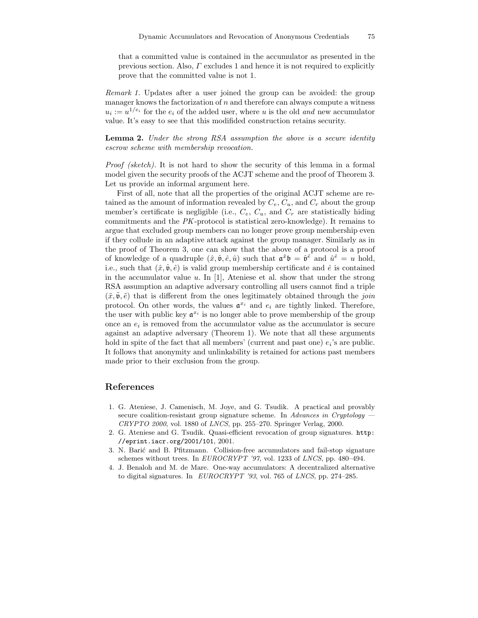that a committed value is contained in the accumulator as presented in the previous section. Also, Γ excludes 1 and hence it is not required to explicitly prove that the committed value is not 1.

Remark 1. Updates after a user joined the group can be avoided: the group manager knows the factorization of  $n$  and therefore can always compute a witness  $u_i := u^{1/e_i}$  for the  $e_i$  of the added user, where u is the old and new accumulator value. It's easy to see that this modifided construction retains security.

**Lemma 2.** Under the strong RSA assumption the above is a secure identity escrow scheme with membership revocation.

Proof (sketch). It is not hard to show the security of this lemma in a formal model given the security proofs of the ACJT scheme and the proof of Theorem 3. Let us provide an informal argument here.

First of all, note that all the properties of the original ACJT scheme are retained as the amount of information revealed by  $C_e$ ,  $C_u$ , and  $C_r$  about the group member's certificate is negligible (i.e.,  $C_e$ ,  $C_u$ , and  $C_r$  are statistically hiding commitments and the PK-protocol is statistical zero-knowledge). It remains to argue that excluded group members can no longer prove group membership even if they collude in an adaptive attack against the group manager. Similarly as in the proof of Theorem 3, one can show that the above of a protocol is a proof of knowledge of a quadruple  $(\hat{x}, \hat{\mathfrak{v}}, \hat{e}, \hat{u})$  such that  $\mathfrak{a}^{\hat{x}}\mathfrak{b} = \hat{\mathfrak{v}}^{\hat{e}}$  and  $\hat{u}^{\hat{e}} = u$  hold, i.e., such that  $(\hat{x}, \hat{\theta}, \hat{e})$  is valid group membership certificate and  $\hat{e}$  is contained in the accumulator value u. In [1], Ateniese et al. show that under the strong RSA assumption an adaptive adversary controlling all users cannot find a triple  $(\tilde{x}, \tilde{\mathfrak{v}}, \tilde{e})$  that is different from the ones legitimately obtained through the join protocol. On other words, the values  $\mathfrak{a}^{x_i}$  and  $e_i$  are tightly linked. Therefore, the user with public key  $\mathfrak{a}^{x_i}$  is no longer able to prove membership of the group once an  $e_i$  is removed from the accumulator value as the accumulator is secure against an adaptive adversary (Theorem 1). We note that all these arguments hold in spite of the fact that all members' (current and past one)  $e_i$ 's are public. It follows that anonymity and unlinkability is retained for actions past members made prior to their exclusion from the group.

## References

- 1. G. Ateniese, J. Camenisch, M. Joye, and G. Tsudik. A practical and provably secure coalition-resistant group signature scheme. In Advances in Cryptology CRYPTO 2000, vol. 1880 of LNCS, pp. 255–270. Springer Verlag, 2000.
- 2. G. Ateniese and G. Tsudik. Quasi-efficient revocation of group signatures. http: //eprint.iacr.org/2001/101, 2001.
- 3. N. Barić and B. Pfitzmann. Collision-free accumulators and fail-stop signature schemes without trees. In EUROCRYPT '97, vol. 1233 of LNCS, pp. 480–494.
- 4. J. Benaloh and M. de Mare. One-way accumulators: A decentralized alternative to digital signatures. In EUROCRYPT '93, vol. 765 of LNCS, pp. 274–285.